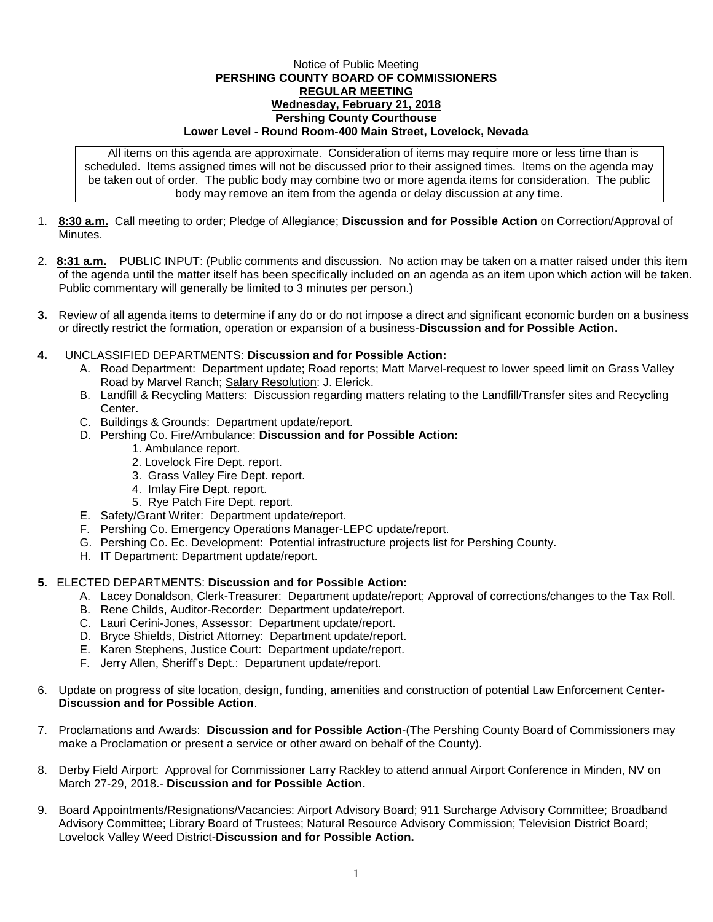## Notice of Public Meeting **PERSHING COUNTY BOARD OF COMMISSIONERS REGULAR MEETING Wednesday, February 21, 2018 Pershing County Courthouse Lower Level - Round Room-400 Main Street, Lovelock, Nevada**

All items on this agenda are approximate. Consideration of items may require more or less time than is scheduled. Items assigned times will not be discussed prior to their assigned times. Items on the agenda may be taken out of order. The public body may combine two or more agenda items for consideration. The public body may remove an item from the agenda or delay discussion at any time.

- 1. **8:30 a.m.** Call meeting to order; Pledge of Allegiance; **Discussion and for Possible Action** on Correction/Approval of **Minutes**
- 2. **8:31 a.m.** PUBLIC INPUT: (Public comments and discussion. No action may be taken on a matter raised under this item of the agenda until the matter itself has been specifically included on an agenda as an item upon which action will be taken. Public commentary will generally be limited to 3 minutes per person.)
- **3.** Review of all agenda items to determine if any do or do not impose a direct and significant economic burden on a business or directly restrict the formation, operation or expansion of a business-**Discussion and for Possible Action.**
- **4.** UNCLASSIFIED DEPARTMENTS: **Discussion and for Possible Action:**
	- A. Road Department: Department update; Road reports; Matt Marvel-request to lower speed limit on Grass Valley Road by Marvel Ranch; Salary Resolution: J. Elerick.
	- B. Landfill & Recycling Matters: Discussion regarding matters relating to the Landfill/Transfer sites and Recycling Center.
	- C. Buildings & Grounds: Department update/report.
	- D. Pershing Co. Fire/Ambulance: **Discussion and for Possible Action:**
		- 1. Ambulance report.
		- 2. Lovelock Fire Dept. report.
		- 3. Grass Valley Fire Dept. report.
		- 4. Imlay Fire Dept. report.
		- 5. Rye Patch Fire Dept. report.
	- E. Safety/Grant Writer: Department update/report.
	- F. Pershing Co. Emergency Operations Manager-LEPC update/report.
	- G. Pershing Co. Ec. Development: Potential infrastructure projects list for Pershing County.
	- H. IT Department: Department update/report.

## **5.** ELECTED DEPARTMENTS: **Discussion and for Possible Action:**

- A. Lacey Donaldson, Clerk-Treasurer: Department update/report; Approval of corrections/changes to the Tax Roll.
- B. Rene Childs, Auditor-Recorder: Department update/report.
- C. Lauri Cerini-Jones, Assessor: Department update/report.
- D. Bryce Shields, District Attorney: Department update/report.
- E. Karen Stephens, Justice Court: Department update/report.
- F. Jerry Allen, Sheriff's Dept.: Department update/report.
- 6. Update on progress of site location, design, funding, amenities and construction of potential Law Enforcement Center-**Discussion and for Possible Action**.
- 7. Proclamations and Awards: **Discussion and for Possible Action**-(The Pershing County Board of Commissioners may make a Proclamation or present a service or other award on behalf of the County).
- 8. Derby Field Airport: Approval for Commissioner Larry Rackley to attend annual Airport Conference in Minden, NV on March 27-29, 2018.- **Discussion and for Possible Action.**
- 9. Board Appointments/Resignations/Vacancies: Airport Advisory Board; 911 Surcharge Advisory Committee; Broadband Advisory Committee; Library Board of Trustees; Natural Resource Advisory Commission; Television District Board; Lovelock Valley Weed District-**Discussion and for Possible Action.**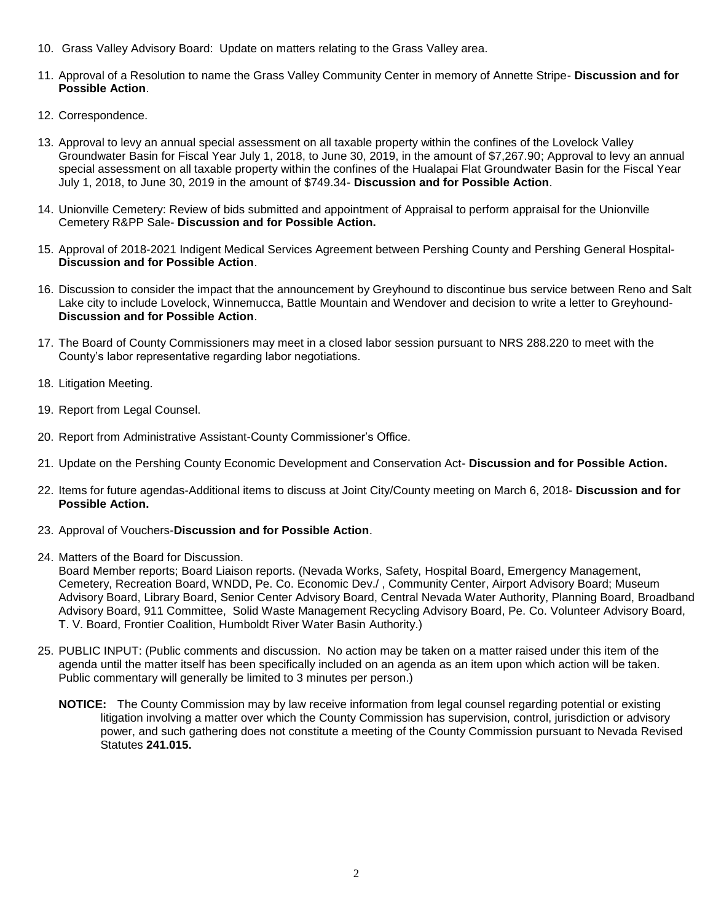- 10. Grass Valley Advisory Board: Update on matters relating to the Grass Valley area.
- 11. Approval of a Resolution to name the Grass Valley Community Center in memory of Annette Stripe- **Discussion and for Possible Action**.
- 12. Correspondence.
- 13. Approval to levy an annual special assessment on all taxable property within the confines of the Lovelock Valley Groundwater Basin for Fiscal Year July 1, 2018, to June 30, 2019, in the amount of \$7,267.90; Approval to levy an annual special assessment on all taxable property within the confines of the Hualapai Flat Groundwater Basin for the Fiscal Year July 1, 2018, to June 30, 2019 in the amount of \$749.34- **Discussion and for Possible Action**.
- 14. Unionville Cemetery: Review of bids submitted and appointment of Appraisal to perform appraisal for the Unionville Cemetery R&PP Sale- **Discussion and for Possible Action.**
- 15. Approval of 2018-2021 Indigent Medical Services Agreement between Pershing County and Pershing General Hospital-**Discussion and for Possible Action**.
- 16. Discussion to consider the impact that the announcement by Greyhound to discontinue bus service between Reno and Salt Lake city to include Lovelock, Winnemucca, Battle Mountain and Wendover and decision to write a letter to Greyhound-**Discussion and for Possible Action**.
- 17. The Board of County Commissioners may meet in a closed labor session pursuant to NRS 288.220 to meet with the County's labor representative regarding labor negotiations.
- 18. Litigation Meeting.
- 19. Report from Legal Counsel.
- 20. Report from Administrative Assistant-County Commissioner's Office.
- 21. Update on the Pershing County Economic Development and Conservation Act- **Discussion and for Possible Action.**
- 22. Items for future agendas-Additional items to discuss at Joint City/County meeting on March 6, 2018- **Discussion and for Possible Action.**
- 23. Approval of Vouchers-**Discussion and for Possible Action**.
- 24. Matters of the Board for Discussion.

Board Member reports; Board Liaison reports. (Nevada Works, Safety, Hospital Board, Emergency Management, Cemetery, Recreation Board, WNDD, Pe. Co. Economic Dev./ , Community Center, Airport Advisory Board; Museum Advisory Board, Library Board, Senior Center Advisory Board, Central Nevada Water Authority, Planning Board, Broadband Advisory Board, 911 Committee, Solid Waste Management Recycling Advisory Board, Pe. Co. Volunteer Advisory Board, T. V. Board, Frontier Coalition, Humboldt River Water Basin Authority.)

- 25. PUBLIC INPUT: (Public comments and discussion. No action may be taken on a matter raised under this item of the agenda until the matter itself has been specifically included on an agenda as an item upon which action will be taken. Public commentary will generally be limited to 3 minutes per person.)
	- **NOTICE:** The County Commission may by law receive information from legal counsel regarding potential or existing litigation involving a matter over which the County Commission has supervision, control, jurisdiction or advisory power, and such gathering does not constitute a meeting of the County Commission pursuant to Nevada Revised Statutes **241.015.**